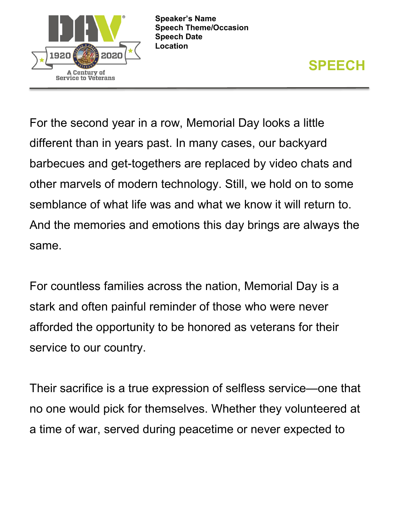

**Speaker's Name Speech Theme/Occasion Speech Date Location**



For the second year in a row, Memorial Day looks a little different than in years past. In many cases, our backyard barbecues and get-togethers are replaced by video chats and other marvels of modern technology. Still, we hold on to some semblance of what life was and what we know it will return to. And the memories and emotions this day brings are always the same.

For countless families across the nation, Memorial Day is a stark and often painful reminder of those who were never afforded the opportunity to be honored as veterans for their service to our country.

Their sacrifice is a true expression of selfless service—one that no one would pick for themselves. Whether they volunteered at a time of war, served during peacetime or never expected to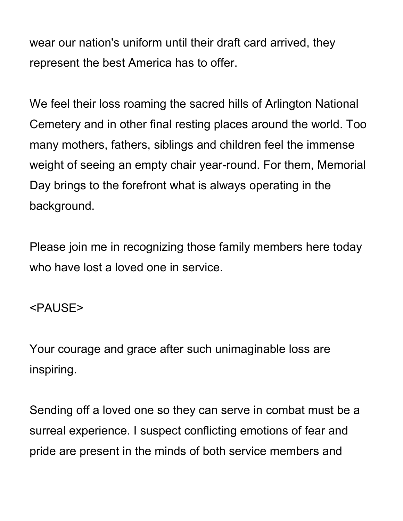wear our nation's uniform until their draft card arrived, they represent the best America has to offer.

We feel their loss roaming the sacred hills of Arlington National Cemetery and in other final resting places around the world. Too many mothers, fathers, siblings and children feel the immense weight of seeing an empty chair year-round. For them, Memorial Day brings to the forefront what is always operating in the background.

Please join me in recognizing those family members here today who have lost a loved one in service.

## <PAUSE>

Your courage and grace after such unimaginable loss are inspiring.

Sending off a loved one so they can serve in combat must be a surreal experience. I suspect conflicting emotions of fear and pride are present in the minds of both service members and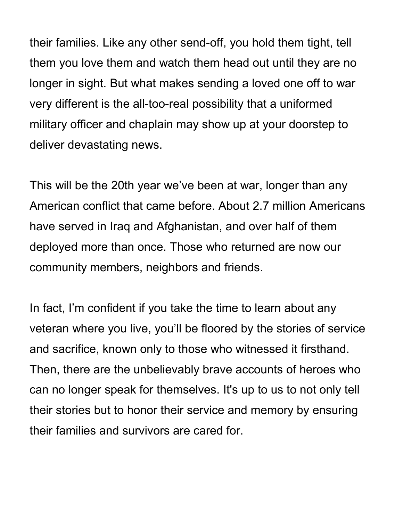their families. Like any other send-off, you hold them tight, tell them you love them and watch them head out until they are no longer in sight. But what makes sending a loved one off to war very different is the all-too-real possibility that a uniformed military officer and chaplain may show up at your doorstep to deliver devastating news.

This will be the 20th year we've been at war, longer than any American conflict that came before. About 2.7 million Americans have served in Iraq and Afghanistan, and over half of them deployed more than once. Those who returned are now our community members, neighbors and friends.

In fact, I'm confident if you take the time to learn about any veteran where you live, you'll be floored by the stories of service and sacrifice, known only to those who witnessed it firsthand. Then, there are the unbelievably brave accounts of heroes who can no longer speak for themselves. It's up to us to not only tell their stories but to honor their service and memory by ensuring their families and survivors are cared for.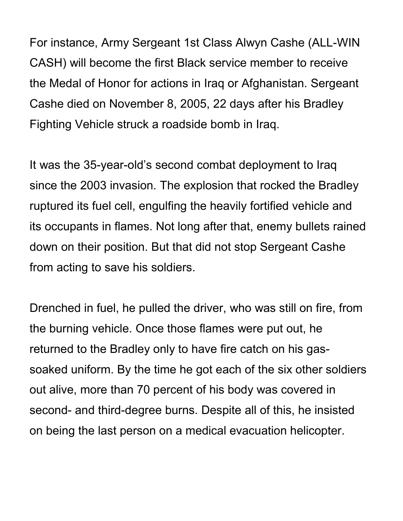For instance, Army Sergeant 1st Class Alwyn Cashe (ALL-WIN CASH) will become the first Black service member to receive the Medal of Honor for actions in Iraq or Afghanistan. Sergeant Cashe died on November 8, 2005, 22 days after his Bradley Fighting Vehicle struck a roadside bomb in Iraq.

It was the 35-year-old's second combat deployment to Iraq since the 2003 invasion. The explosion that rocked the Bradley ruptured its fuel cell, engulfing the heavily fortified vehicle and its occupants in flames. Not long after that, enemy bullets rained down on their position. But that did not stop Sergeant Cashe from acting to save his soldiers.

Drenched in fuel, he pulled the driver, who was still on fire, from the burning vehicle. Once those flames were put out, he returned to the Bradley only to have fire catch on his gassoaked uniform. By the time he got each of the six other soldiers out alive, more than 70 percent of his body was covered in second- and third-degree burns. Despite all of this, he insisted on being the last person on a medical evacuation helicopter.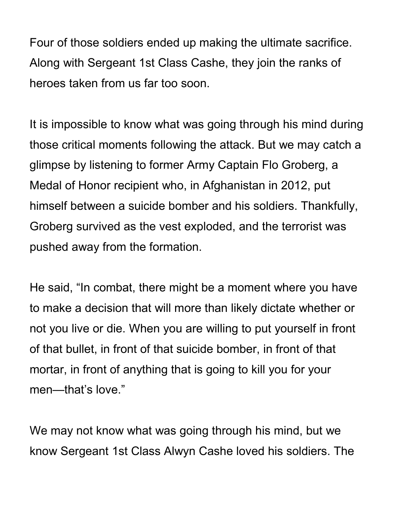Four of those soldiers ended up making the ultimate sacrifice. Along with Sergeant 1st Class Cashe, they join the ranks of heroes taken from us far too soon.

It is impossible to know what was going through his mind during those critical moments following the attack. But we may catch a glimpse by listening to former Army Captain Flo Groberg, a Medal of Honor recipient who, in Afghanistan in 2012, put himself between a suicide bomber and his soldiers. Thankfully, Groberg survived as the vest exploded, and the terrorist was pushed away from the formation.

He said, "In combat, there might be a moment where you have to make a decision that will more than likely dictate whether or not you live or die. When you are willing to put yourself in front of that bullet, in front of that suicide bomber, in front of that mortar, in front of anything that is going to kill you for your men—that's love."

We may not know what was going through his mind, but we know Sergeant 1st Class Alwyn Cashe loved his soldiers. The